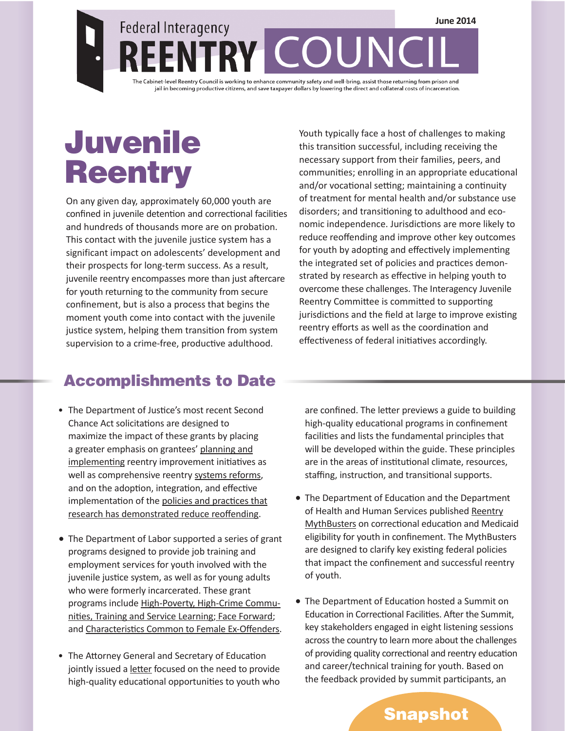# **Juvenile Reentry**

On any given day, approximately 60,000 youth are confined in juvenile detention and correctional facilities and hundreds of thousands more are on probation. This contact with the juvenile justice system has a significant impact on adolescents' development and their prospects for long-term success. As a result, juvenile reentry encompasses more than just aftercare for youth returning to the community from secure confinement, but is also a process that begins the moment youth come into contact with the juvenile justice system, helping them transition from system supervision to a crime-free, productive adulthood.

Youth typically face a host of challenges to making this transition successful, including receiving the necessary support from their families, peers, and communities; enrolling in an appropriate educational and/or vocational setting; maintaining a continuity of treatment for mental health and/or substance use disorders; and transitioning to adulthood and economic independence. Jurisdictions are more likely to reduce reoffending and improve other key outcomes for youth by adopting and effectively implementing the integrated set of policies and practices demonstrated by research as effective in helping youth to overcome these challenges. The Interagency Juvenile Reentry Committee is committed to supporting jurisdictions and the field at large to improve existing reentry efforts as well as the coordination and effectiveness of federal initiatives accordingly.

## Accomplishments to Date

- The Department of Justice's most recent Second Chance Act solicitations are designed to maximize the impact of these grants by placing a greater emphasis on grantees' [planning and](http://www.ojjdp.gov/grants/solicitations/FY2014/2ndChanceDemo.pdf) [implementing](http://www.ojjdp.gov/grants/solicitations/FY2014/2ndChanceDemo.pdf) reentry improvement initiatives as well as comprehensive reentry [systems reforms,](http://www.ojjdp.gov/grants/solicitations/FY2014/2ndChanceReform.pdf) and on the adoption, integration, and effective implementation of th[e policies and practices that](http://csgjusticecenter.org/youth/juvenile-reentry/) [research has demonstrated reduce reoffending](http://csgjusticecenter.org/youth/juvenile-reentry/).
- The Department of Labor supported a series of grant programs designed to provide job training and employment services for youth involved with the juvenile justice system, as well as for young adults who were formerly incarcerated. These grant programs include [High-Poverty, High-Crime Commu](http://www.dol.gov/opa/media/press/eta/ETA20121275.htm)[nities, Training and Service Learning](http://www.dol.gov/opa/media/press/eta/ETA20121275.htm); [Face Forward](http://www.dol.gov/opa/media/press/eta/ETA20131269.htm); and [Characteristics Common to Female Ex-Offenders.](http://www.dol.gov/opa/media/press/eta/ETA20121318.htm)
- The Attorney General and Secretary of Education jointly issued a [letter](http://www.ed.gov/blog/wp-content/uploads/2014/06/doj-dod-ltr.pdf ) focused on the need to provide high-quality educational opportunities to youth who

are confined. The letter previews a guide to building high-quality educational programs in confinement facilities and lists the fundamental principles that will be developed within the guide. These principles are in the areas of institutional climate, resources, staffing, instruction, and transitional supports.

- The Department of Education and the Department of Health and Human Services published [Reentry](http://csgjusticecenter.org/documents/0000/1090/REENTRY_MYTHBUSTERS.pdf) [MythBusters](http://csgjusticecenter.org/documents/0000/1090/REENTRY_MYTHBUSTERS.pdf) on correctional education and Medicaid eligibility for youth in confinement. The MythBusters are designed to clarify key existing federal policies that impact the confinement and successful reentry of youth.
- The Department of Education hosted a Summit on Education in Correctional Facilities. After the Summit, key stakeholders engaged in eight listening sessions across the country to learn more about the challenges of providing quality correctional and reentry education and career/technical training for youth. Based on the feedback provided by summit participants, an

Snapshot